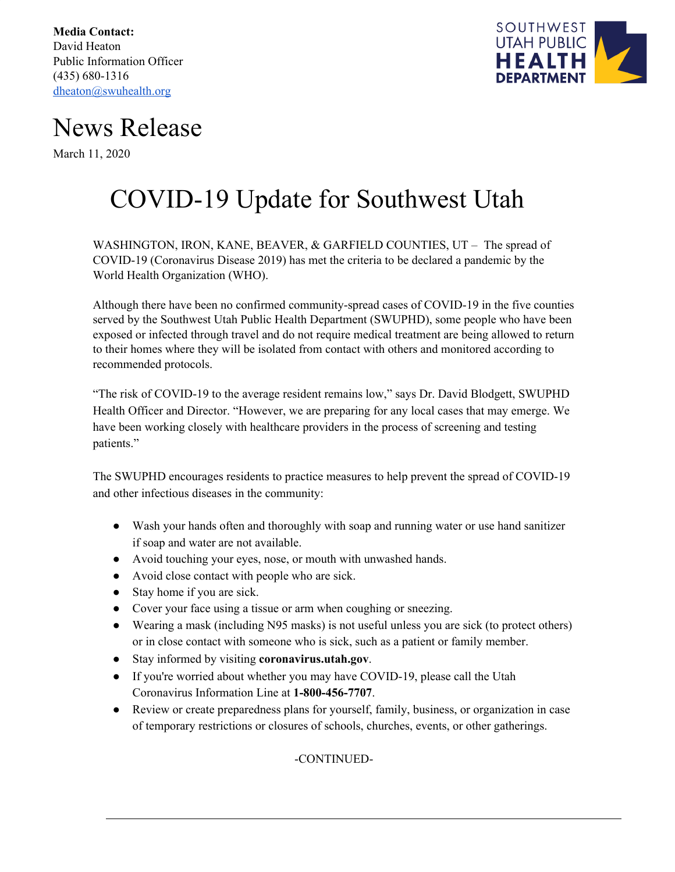**Media Contact:** David Heaton Public Information Officer (435) 680-1316 [dheaton@swuhealth.org](mailto:dheaton@swuhealth.org)



## News Release

March 11, 2020

## COVID-19 Update for Southwest Utah

WASHINGTON, IRON, KANE, BEAVER, & GARFIELD COUNTIES, UT – The spread of COVID-19 (Coronavirus Disease 2019) has met the criteria to be declared a pandemic by the World Health Organization (WHO).

Although there have been no confirmed community-spread cases of COVID-19 in the five counties served by the Southwest Utah Public Health Department (SWUPHD), some people who have been exposed or infected through travel and do not require medical treatment are being allowed to return to their homes where they will be isolated from contact with others and monitored according to recommended protocols.

"The risk of COVID-19 to the average resident remains low," says Dr. David Blodgett, SWUPHD Health Officer and Director. "However, we are preparing for any local cases that may emerge. We have been working closely with healthcare providers in the process of screening and testing patients."

The SWUPHD encourages residents to practice measures to help prevent the spread of COVID-19 and other infectious diseases in the community:

- Wash your hands often and thoroughly with soap and running water or use hand sanitizer if soap and water are not available.
- Avoid touching your eyes, nose, or mouth with unwashed hands.
- Avoid close contact with people who are sick.
- Stay home if you are sick.
- Cover your face using a tissue or arm when coughing or sneezing.
- Wearing a mask (including N95 masks) is not useful unless you are sick (to protect others) or in close contact with someone who is sick, such as a patient or family member.
- Stay informed by visiting **coronavirus.utah.gov**.
- If you're worried about whether you may have COVID-19, please call the Utah Coronavirus Information Line at **1-800-456-7707**.
- Review or create preparedness plans for yourself, family, business, or organization in case of temporary restrictions or closures of schools, churches, events, or other gatherings.

-CONTINUED-